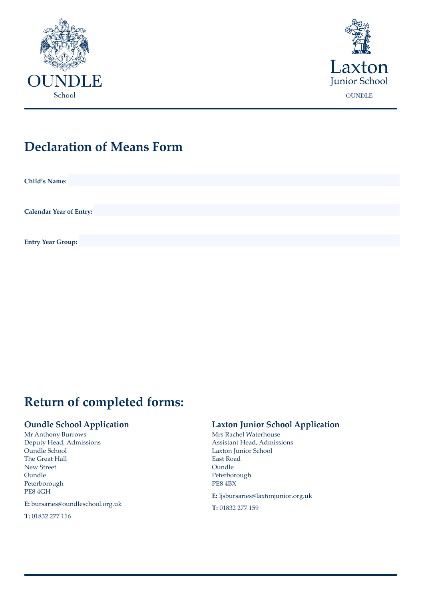



# **Declaration of Means Form**

**Child's Name:**

**Calendar Year of Entry:**

**Entry Year Group:**

# **Return of completed forms:**

#### **Oundle School Application**

Mr Anthony Burrows Deputy Head, Admissions Oundle School The Great Hall New Street Oundle Peterborough PE8 4GH

**E:** bursaries@oundleschool.org.uk

**T:** 01832 277 116

### **Laxton Junior School Application**

Mrs Rachel Waterhouse Assistant Head, Admissions Laxton Junior School East Road **Oundle** Peterborough PE8 4BX

**E:** ljsbursaries@laxtonjunior.org.uk

**T:** 01832 277 159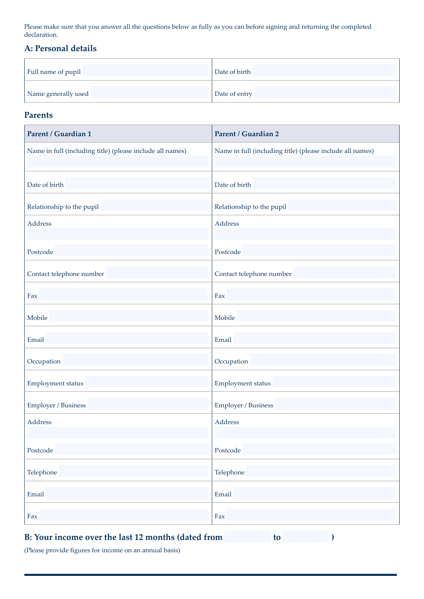Please make sure that you answer all the questions below as fully as you can before signing and returning the completed declaration.

#### **A: Personal details**

| Full name of pupil  | Date of birth |
|---------------------|---------------|
| Name generally used | Date of entry |

#### **Parents**

| <b>Parent / Guardian 1</b>                                | <b>Parent / Guardian 2</b>                                |
|-----------------------------------------------------------|-----------------------------------------------------------|
| Name in full (including title) (please include all names) | Name in full (including title) (please include all names) |
| Date of birth                                             | Date of birth                                             |
| Relationship to the pupil                                 | Relationship to the pupil                                 |
| Address                                                   | Address                                                   |
| Postcode                                                  | Postcode                                                  |
| Contact telephone number                                  | Contact telephone number                                  |
| Fax                                                       | Fax                                                       |
| Mobile                                                    | Mobile                                                    |
| Email                                                     | Email                                                     |
| Occupation                                                | Occupation                                                |
| Employment status                                         | Employment status                                         |
| Employer / Business                                       | Employer / Business                                       |
| Address                                                   | Address                                                   |
| Postcode                                                  | Postcode                                                  |
| Telephone                                                 | Telephone                                                 |
| Email                                                     | Email                                                     |
| Fax                                                       | Fax                                                       |

## **B: Your income over the last 12 months (dated from to )**

(Please provide figures for income on an annual basis)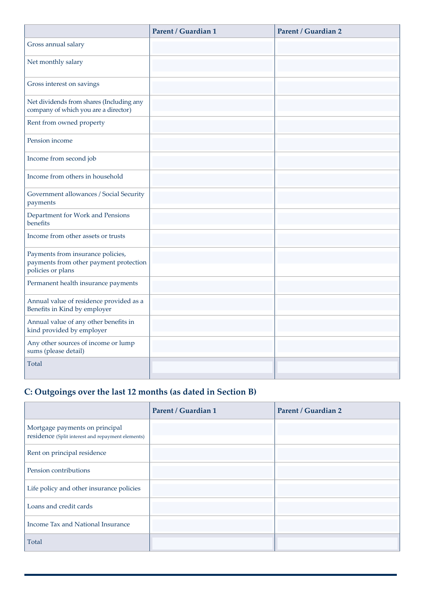|                                                                                                  | Parent / Guardian 1 | Parent / Guardian 2 |
|--------------------------------------------------------------------------------------------------|---------------------|---------------------|
| Gross annual salary                                                                              |                     |                     |
| Net monthly salary                                                                               |                     |                     |
| Gross interest on savings                                                                        |                     |                     |
| Net dividends from shares (Including any<br>company of which you are a director)                 |                     |                     |
| Rent from owned property                                                                         |                     |                     |
| Pension income                                                                                   |                     |                     |
| Income from second job                                                                           |                     |                     |
| Income from others in household                                                                  |                     |                     |
| Government allowances / Social Security<br>payments                                              |                     |                     |
| Department for Work and Pensions<br>benefits                                                     |                     |                     |
| Income from other assets or trusts                                                               |                     |                     |
| Payments from insurance policies,<br>payments from other payment protection<br>policies or plans |                     |                     |
| Permanent health insurance payments                                                              |                     |                     |
| Annual value of residence provided as a<br>Benefits in Kind by employer                          |                     |                     |
| Annual value of any other benefits in<br>kind provided by employer                               |                     |                     |
| Any other sources of income or lump<br>sums (please detail)                                      |                     |                     |
| Total                                                                                            |                     |                     |

# **C: Outgoings over the last 12 months (as dated in Section B)**

|                                                                                     | Parent / Guardian 1 | Parent / Guardian 2 |
|-------------------------------------------------------------------------------------|---------------------|---------------------|
| Mortgage payments on principal<br>residence (Split interest and repayment elements) |                     |                     |
| Rent on principal residence                                                         |                     |                     |
| Pension contributions                                                               |                     |                     |
| Life policy and other insurance policies                                            |                     |                     |
| Loans and credit cards                                                              |                     |                     |
| Income Tax and National Insurance                                                   |                     |                     |
| Total                                                                               |                     |                     |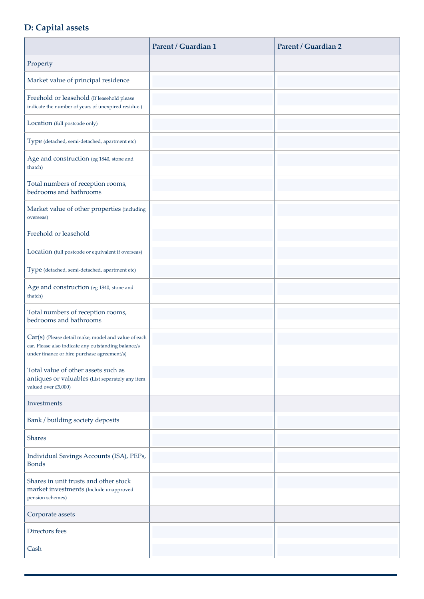### **D: Capital assets**

|                                                                                                                                                             | <b>Parent / Guardian 1</b> | <b>Parent / Guardian 2</b> |
|-------------------------------------------------------------------------------------------------------------------------------------------------------------|----------------------------|----------------------------|
| Property                                                                                                                                                    |                            |                            |
| Market value of principal residence                                                                                                                         |                            |                            |
| Freehold or leasehold (If leasehold please<br>indicate the number of years of unexpired residue.)                                                           |                            |                            |
| Location (full postcode only)                                                                                                                               |                            |                            |
| Type (detached, semi-detached, apartment etc)                                                                                                               |                            |                            |
| Age and construction (eg 1840, stone and<br>thatch)                                                                                                         |                            |                            |
| Total numbers of reception rooms,<br>bedrooms and bathrooms                                                                                                 |                            |                            |
| Market value of other properties (including<br>overseas)                                                                                                    |                            |                            |
| Freehold or leasehold                                                                                                                                       |                            |                            |
| Location (full postcode or equivalent if overseas)                                                                                                          |                            |                            |
| Type (detached, semi-detached, apartment etc)                                                                                                               |                            |                            |
| Age and construction (eg 1840, stone and<br>thatch)                                                                                                         |                            |                            |
| Total numbers of reception rooms,<br>bedrooms and bathrooms                                                                                                 |                            |                            |
| $Car(s)$ (Please detail make, model and value of each<br>car. Please also indicate any outstanding balance/s<br>under finance or hire purchase agreement/s) |                            |                            |
| Total value of other assets such as<br>antiques or valuables (List separately any item<br>valued over £5,000)                                               |                            |                            |
| <b>Investments</b>                                                                                                                                          |                            |                            |
| Bank / building society deposits                                                                                                                            |                            |                            |
| <b>Shares</b>                                                                                                                                               |                            |                            |
| Individual Savings Accounts (ISA), PEPs,<br><b>Bonds</b>                                                                                                    |                            |                            |
| Shares in unit trusts and other stock<br>market investments (Include unapproved<br>pension schemes)                                                         |                            |                            |
| Corporate assets                                                                                                                                            |                            |                            |
| Directors fees                                                                                                                                              |                            |                            |
| Cash                                                                                                                                                        |                            |                            |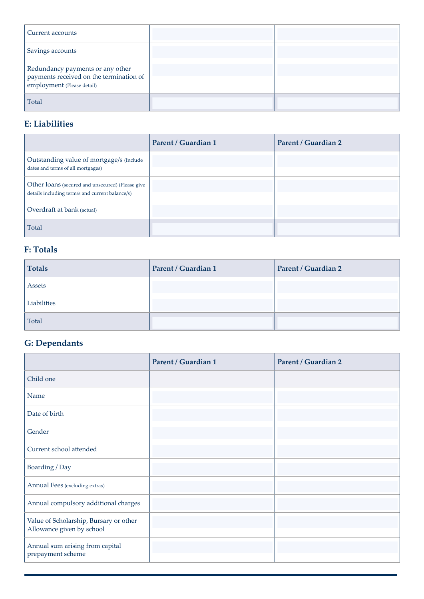| Current accounts                                                                                          |  |
|-----------------------------------------------------------------------------------------------------------|--|
| Savings accounts                                                                                          |  |
| Redundancy payments or any other<br>payments received on the termination of<br>employment (Please detail) |  |
| Total                                                                                                     |  |

## **E: Liabilities**

|                                                                                                     | Parent / Guardian 1 | Parent / Guardian 2 |
|-----------------------------------------------------------------------------------------------------|---------------------|---------------------|
| Outstanding value of mortgage/s (Include<br>dates and terms of all mortgages)                       |                     |                     |
| Other loans (secured and unsecured) (Please give<br>details including term/s and current balance/s) |                     |                     |
| Overdraft at bank (actual)                                                                          |                     |                     |
| Total                                                                                               |                     |                     |

## **F: Totals**

| <b>Totals</b> | Parent / Guardian 1 | Parent / Guardian 2 |
|---------------|---------------------|---------------------|
| Assets        |                     |                     |
| Liabilities   |                     |                     |
| Total         |                     |                     |

# **G: Dependants**

|                                                                     | <b>Parent / Guardian 1</b> | <b>Parent / Guardian 2</b> |
|---------------------------------------------------------------------|----------------------------|----------------------------|
| Child one                                                           |                            |                            |
| Name                                                                |                            |                            |
| Date of birth                                                       |                            |                            |
| Gender                                                              |                            |                            |
| Current school attended                                             |                            |                            |
| Boarding / Day                                                      |                            |                            |
| Annual Fees (excluding extras)                                      |                            |                            |
| Annual compulsory additional charges                                |                            |                            |
| Value of Scholarship, Bursary or other<br>Allowance given by school |                            |                            |
| Annual sum arising from capital<br>prepayment scheme                |                            |                            |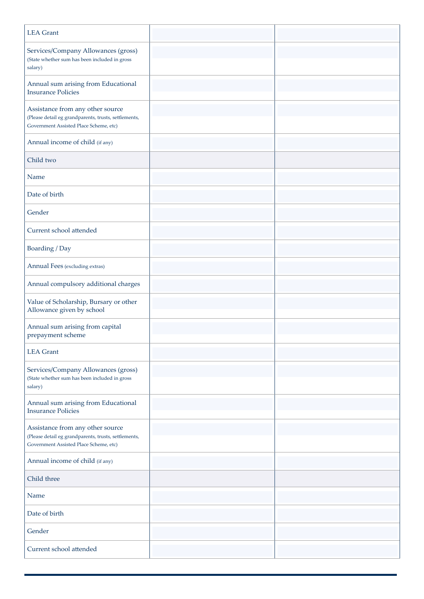| <b>LEA</b> Grant                                                                                                                   |  |
|------------------------------------------------------------------------------------------------------------------------------------|--|
| Services/Company Allowances (gross)<br>(State whether sum has been included in gross<br>salary)                                    |  |
| Annual sum arising from Educational<br><b>Insurance Policies</b>                                                                   |  |
| Assistance from any other source<br>(Please detail eg grandparents, trusts, settlements,<br>Government Assisted Place Scheme, etc) |  |
| Annual income of child (if any)                                                                                                    |  |
| Child two                                                                                                                          |  |
| Name                                                                                                                               |  |
| Date of birth                                                                                                                      |  |
| Gender                                                                                                                             |  |
| Current school attended                                                                                                            |  |
| Boarding / Day                                                                                                                     |  |
| Annual Fees (excluding extras)                                                                                                     |  |
| Annual compulsory additional charges                                                                                               |  |
| Value of Scholarship, Bursary or other<br>Allowance given by school                                                                |  |
| Annual sum arising from capital<br>prepayment scheme                                                                               |  |
| <b>LEA</b> Grant                                                                                                                   |  |
| Services/Company Allowances (gross)<br>(State whether sum has been included in gross<br>salary)                                    |  |
| Annual sum arising from Educational<br><b>Insurance Policies</b>                                                                   |  |
| Assistance from any other source<br>(Please detail eg grandparents, trusts, settlements,<br>Government Assisted Place Scheme, etc) |  |
| Annual income of child (if any)                                                                                                    |  |
| Child three                                                                                                                        |  |
| Name                                                                                                                               |  |
| Date of birth                                                                                                                      |  |
| Gender                                                                                                                             |  |
| Current school attended                                                                                                            |  |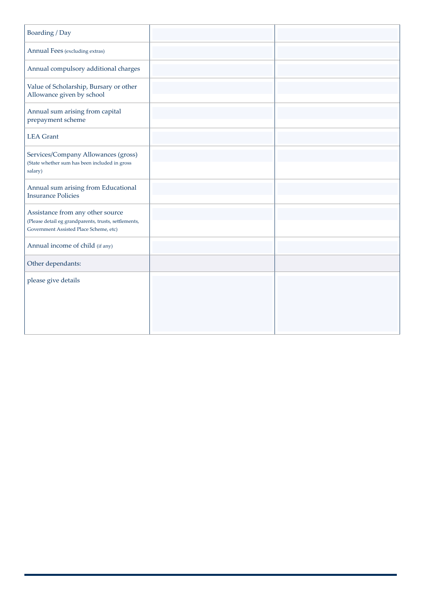| Boarding / Day                                                                                                                     |  |
|------------------------------------------------------------------------------------------------------------------------------------|--|
| Annual Fees (excluding extras)                                                                                                     |  |
| Annual compulsory additional charges                                                                                               |  |
| Value of Scholarship, Bursary or other<br>Allowance given by school                                                                |  |
| Annual sum arising from capital<br>prepayment scheme                                                                               |  |
| <b>LEA</b> Grant                                                                                                                   |  |
| Services/Company Allowances (gross)<br>(State whether sum has been included in gross<br>salary)                                    |  |
| Annual sum arising from Educational<br><b>Insurance Policies</b>                                                                   |  |
| Assistance from any other source<br>(Please detail eg grandparents, trusts, settlements,<br>Government Assisted Place Scheme, etc) |  |
| Annual income of child (if any)                                                                                                    |  |
| Other dependants:                                                                                                                  |  |
| please give details                                                                                                                |  |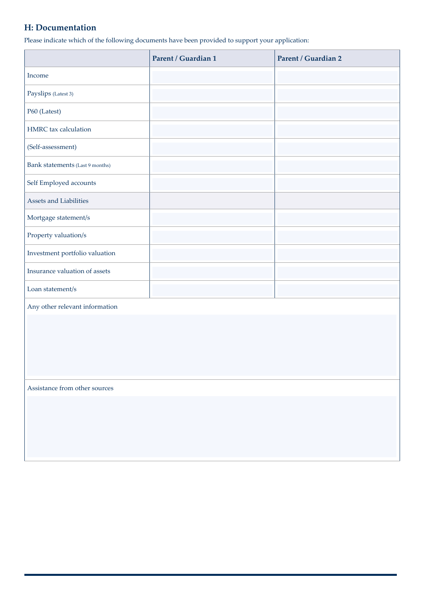### **H: Documentation**

Please indicate which of the following documents have been provided to support your application:

|                                 | Parent / Guardian 1 | Parent / Guardian 2 |
|---------------------------------|---------------------|---------------------|
| Income                          |                     |                     |
| Payslips (Latest 3)             |                     |                     |
| P60 (Latest)                    |                     |                     |
| HMRC tax calculation            |                     |                     |
| (Self-assessment)               |                     |                     |
| Bank statements (Last 9 months) |                     |                     |
| Self Employed accounts          |                     |                     |
| Assets and Liabilities          |                     |                     |
| Mortgage statement/s            |                     |                     |
| Property valuation/s            |                     |                     |
| Investment portfolio valuation  |                     |                     |
| Insurance valuation of assets   |                     |                     |
| Loan statement/s                |                     |                     |
| Any other relevant information  |                     |                     |
|                                 |                     |                     |
|                                 |                     |                     |
|                                 |                     |                     |
|                                 |                     |                     |
| Assistance from other sources   |                     |                     |
|                                 |                     |                     |
|                                 |                     |                     |
|                                 |                     |                     |
|                                 |                     |                     |